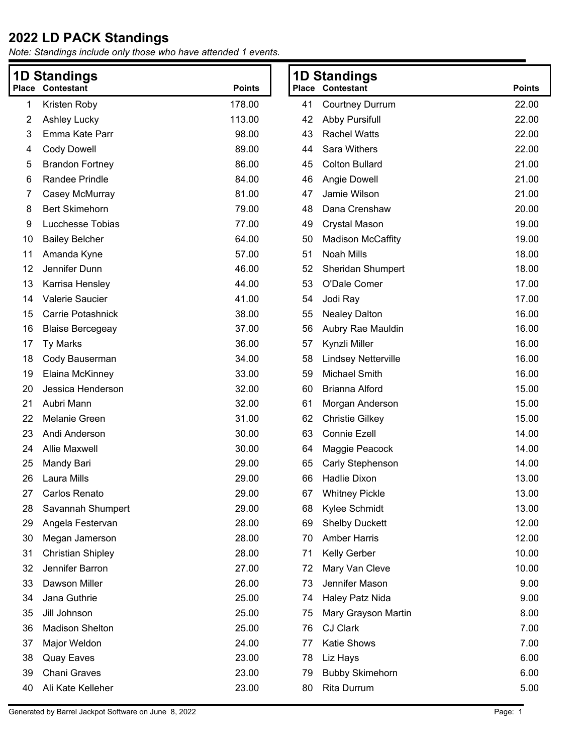|    | <b>1D Standings</b>      |               |    | <b>1D Standings</b>        |               |
|----|--------------------------|---------------|----|----------------------------|---------------|
|    | <b>Place Contestant</b>  | <b>Points</b> |    | <b>Place Contestant</b>    | <b>Points</b> |
| 1  | Kristen Roby             | 178.00        | 41 | <b>Courtney Durrum</b>     | 22.00         |
| 2  | <b>Ashley Lucky</b>      | 113.00        | 42 | <b>Abby Pursifull</b>      | 22.00         |
| 3  | Emma Kate Parr           | 98.00         | 43 | <b>Rachel Watts</b>        | 22.00         |
| 4  | <b>Cody Dowell</b>       | 89.00         | 44 | Sara Withers               | 22.00         |
| 5  | <b>Brandon Fortney</b>   | 86.00         | 45 | <b>Colton Bullard</b>      | 21.00         |
| 6  | Randee Prindle           | 84.00         | 46 | Angie Dowell               | 21.00         |
| 7  | Casey McMurray           | 81.00         | 47 | Jamie Wilson               | 21.00         |
| 8  | <b>Bert Skimehorn</b>    | 79.00         | 48 | Dana Crenshaw              | 20.00         |
| 9  | Lucchesse Tobias         | 77.00         | 49 | <b>Crystal Mason</b>       | 19.00         |
| 10 | <b>Bailey Belcher</b>    | 64.00         | 50 | <b>Madison McCaffity</b>   | 19.00         |
| 11 | Amanda Kyne              | 57.00         | 51 | Noah Mills                 | 18.00         |
| 12 | Jennifer Dunn            | 46.00         | 52 | <b>Sheridan Shumpert</b>   | 18.00         |
| 13 | Karrisa Hensley          | 44.00         | 53 | O'Dale Comer               | 17.00         |
| 14 | Valerie Saucier          | 41.00         | 54 | Jodi Ray                   | 17.00         |
| 15 | Carrie Potashnick        | 38.00         | 55 | <b>Nealey Dalton</b>       | 16.00         |
| 16 | <b>Blaise Bercegeay</b>  | 37.00         | 56 | Aubry Rae Mauldin          | 16.00         |
| 17 | <b>Ty Marks</b>          | 36.00         | 57 | Kynzli Miller              | 16.00         |
| 18 | Cody Bauserman           | 34.00         | 58 | <b>Lindsey Netterville</b> | 16.00         |
| 19 | Elaina McKinney          | 33.00         | 59 | <b>Michael Smith</b>       | 16.00         |
| 20 | Jessica Henderson        | 32.00         | 60 | Brianna Alford             | 15.00         |
| 21 | Aubri Mann               | 32.00         | 61 | Morgan Anderson            | 15.00         |
| 22 | Melanie Green            | 31.00         | 62 | <b>Christie Gilkey</b>     | 15.00         |
| 23 | Andi Anderson            | 30.00         | 63 | <b>Connie Ezell</b>        | 14.00         |
| 24 | <b>Allie Maxwell</b>     | 30.00         | 64 | Maggie Peacock             | 14.00         |
| 25 | Mandy Bari               | 29.00         | 65 | Carly Stephenson           | 14.00         |
| 26 | Laura Mills              | 29.00         | 66 | Hadlie Dixon               | 13.00         |
| 27 | Carlos Renato            | 29.00         |    | 67 Whitney Pickle          | 13.00         |
| 28 | Savannah Shumpert        | 29.00         | 68 | Kylee Schmidt              | 13.00         |
| 29 | Angela Festervan         | 28.00         | 69 | <b>Shelby Duckett</b>      | 12.00         |
| 30 | Megan Jamerson           | 28.00         | 70 | <b>Amber Harris</b>        | 12.00         |
| 31 | <b>Christian Shipley</b> | 28.00         | 71 | Kelly Gerber               | 10.00         |
| 32 | Jennifer Barron          | 27.00         | 72 | Mary Van Cleve             | 10.00         |
| 33 | Dawson Miller            | 26.00         | 73 | Jennifer Mason             | 9.00          |
| 34 | Jana Guthrie             | 25.00         | 74 | Haley Patz Nida            | 9.00          |
| 35 | Jill Johnson             | 25.00         | 75 | Mary Grayson Martin        | 8.00          |
| 36 | <b>Madison Shelton</b>   | 25.00         | 76 | <b>CJ Clark</b>            | 7.00          |
| 37 | Major Weldon             | 24.00         | 77 | Katie Shows                | 7.00          |
| 38 | <b>Quay Eaves</b>        | 23.00         | 78 | Liz Hays                   | 6.00          |
| 39 | <b>Chani Graves</b>      | 23.00         | 79 | <b>Bubby Skimehorn</b>     | 6.00          |
| 40 | Ali Kate Kelleher        | 23.00         | 80 | Rita Durrum                | 5.00          |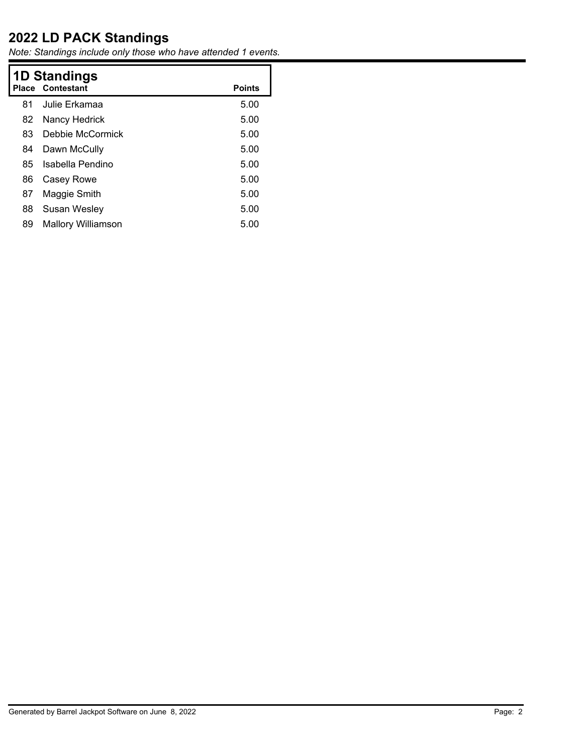|    | <b>1D Standings</b><br><b>Place Contestant</b><br><b>Points</b> |      |  |  |  |
|----|-----------------------------------------------------------------|------|--|--|--|
| 81 | Julie Erkamaa                                                   | 5.00 |  |  |  |
| 82 | Nancy Hedrick                                                   | 5.00 |  |  |  |
| 83 | Debbie McCormick                                                | 5.00 |  |  |  |
| 84 | Dawn McCully                                                    | 5.00 |  |  |  |
| 85 | Isabella Pendino                                                | 5.00 |  |  |  |
| 86 | Casey Rowe                                                      | 5.00 |  |  |  |
| 87 | Maggie Smith                                                    | 5.00 |  |  |  |
| 88 | Susan Wesley                                                    | 5.00 |  |  |  |
| 89 | <b>Mallory Williamson</b>                                       | 5.00 |  |  |  |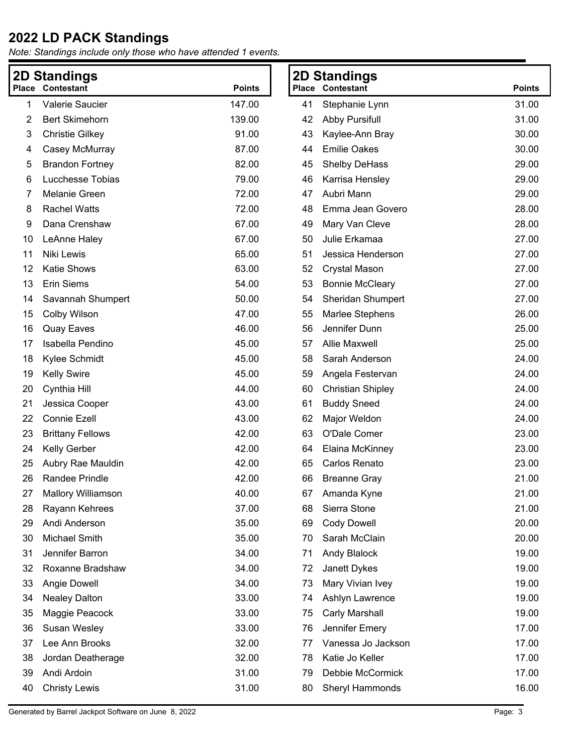|    | 2D Standings              |               |    | <b>2D Standings</b>      |               |
|----|---------------------------|---------------|----|--------------------------|---------------|
|    | <b>Place Contestant</b>   | <b>Points</b> |    | <b>Place Contestant</b>  | <b>Points</b> |
| 1  | Valerie Saucier           | 147.00        | 41 | Stephanie Lynn           | 31.00         |
| 2  | <b>Bert Skimehorn</b>     | 139.00        | 42 | <b>Abby Pursifull</b>    | 31.00         |
| 3  | <b>Christie Gilkey</b>    | 91.00         | 43 | Kaylee-Ann Bray          | 30.00         |
| 4  | Casey McMurray            | 87.00         | 44 | <b>Emilie Oakes</b>      | 30.00         |
| 5  | <b>Brandon Fortney</b>    | 82.00         | 45 | Shelby DeHass            | 29.00         |
| 6  | Lucchesse Tobias          | 79.00         | 46 | Karrisa Hensley          | 29.00         |
| 7  | <b>Melanie Green</b>      | 72.00         | 47 | Aubri Mann               | 29.00         |
| 8  | <b>Rachel Watts</b>       | 72.00         | 48 | Emma Jean Govero         | 28.00         |
| 9  | Dana Crenshaw             | 67.00         | 49 | Mary Van Cleve           | 28.00         |
| 10 | LeAnne Haley              | 67.00         | 50 | Julie Erkamaa            | 27.00         |
| 11 | Niki Lewis                | 65.00         | 51 | Jessica Henderson        | 27.00         |
| 12 | Katie Shows               | 63.00         | 52 | <b>Crystal Mason</b>     | 27.00         |
| 13 | <b>Erin Siems</b>         | 54.00         | 53 | <b>Bonnie McCleary</b>   | 27.00         |
| 14 | Savannah Shumpert         | 50.00         | 54 | <b>Sheridan Shumpert</b> | 27.00         |
| 15 | Colby Wilson              | 47.00         | 55 | Marlee Stephens          | 26.00         |
| 16 | <b>Quay Eaves</b>         | 46.00         | 56 | Jennifer Dunn            | 25.00         |
| 17 | Isabella Pendino          | 45.00         | 57 | <b>Allie Maxwell</b>     | 25.00         |
| 18 | Kylee Schmidt             | 45.00         | 58 | Sarah Anderson           | 24.00         |
| 19 | <b>Kelly Swire</b>        | 45.00         | 59 | Angela Festervan         | 24.00         |
| 20 | Cynthia Hill              | 44.00         | 60 | <b>Christian Shipley</b> | 24.00         |
| 21 | Jessica Cooper            | 43.00         | 61 | <b>Buddy Sneed</b>       | 24.00         |
| 22 | <b>Connie Ezell</b>       | 43.00         | 62 | Major Weldon             | 24.00         |
| 23 | <b>Brittany Fellows</b>   | 42.00         | 63 | O'Dale Comer             | 23.00         |
| 24 | Kelly Gerber              | 42.00         | 64 | Elaina McKinney          | 23.00         |
| 25 | Aubry Rae Mauldin         | 42.00         | 65 | Carlos Renato            | 23.00         |
| 26 | Randee Prindle            | 42.00         | 66 | <b>Breanne Gray</b>      | 21.00         |
| 27 | <b>Mallory Williamson</b> | 40.00         | 67 | Amanda Kyne              | 21.00         |
| 28 | Rayann Kehrees            | 37.00         | 68 | Sierra Stone             | 21.00         |
| 29 | Andi Anderson             | 35.00         | 69 | <b>Cody Dowell</b>       | 20.00         |
| 30 | Michael Smith             | 35.00         | 70 | Sarah McClain            | 20.00         |
| 31 | Jennifer Barron           | 34.00         | 71 | <b>Andy Blalock</b>      | 19.00         |
| 32 | Roxanne Bradshaw          | 34.00         | 72 | Janett Dykes             | 19.00         |
| 33 | Angie Dowell              | 34.00         | 73 | Mary Vivian Ivey         | 19.00         |
| 34 | <b>Nealey Dalton</b>      | 33.00         | 74 | Ashlyn Lawrence          | 19.00         |
| 35 | Maggie Peacock            | 33.00         | 75 | <b>Carly Marshall</b>    | 19.00         |
| 36 | Susan Wesley              | 33.00         | 76 | Jennifer Emery           | 17.00         |
| 37 | Lee Ann Brooks            | 32.00         | 77 | Vanessa Jo Jackson       | 17.00         |
| 38 | Jordan Deatherage         | 32.00         | 78 | Katie Jo Keller          | 17.00         |
| 39 | Andi Ardoin               | 31.00         | 79 | Debbie McCormick         | 17.00         |
| 40 | <b>Christy Lewis</b>      | 31.00         | 80 | Sheryl Hammonds          | 16.00         |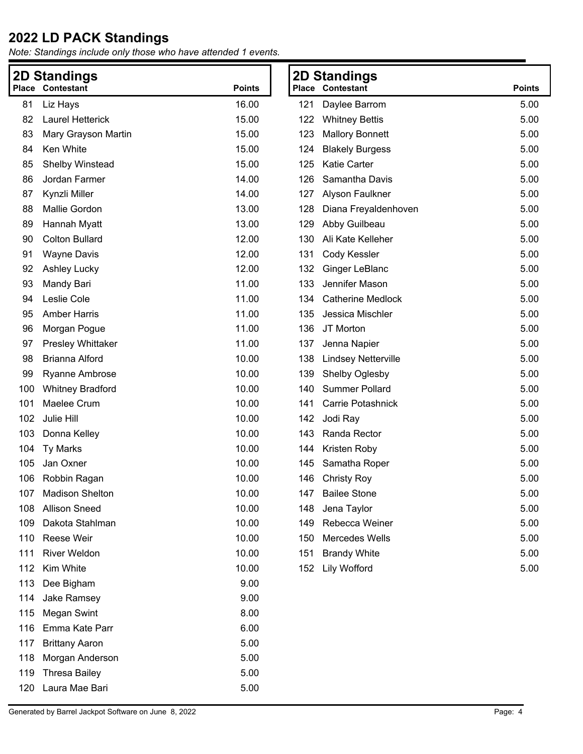|     | <b>2D Standings</b>      |               |     | <b>2D Standings</b>        |               |
|-----|--------------------------|---------------|-----|----------------------------|---------------|
|     | <b>Place Contestant</b>  | <b>Points</b> |     | <b>Place Contestant</b>    | <b>Points</b> |
| 81  | Liz Hays                 | 16.00         | 121 | Daylee Barrom              | 5.00          |
| 82  | <b>Laurel Hetterick</b>  | 15.00         | 122 | <b>Whitney Bettis</b>      | 5.00          |
| 83  | Mary Grayson Martin      | 15.00         | 123 | <b>Mallory Bonnett</b>     | 5.00          |
| 84  | Ken White                | 15.00         | 124 | <b>Blakely Burgess</b>     | 5.00          |
| 85  | Shelby Winstead          | 15.00         | 125 | <b>Katie Carter</b>        | 5.00          |
| 86  | Jordan Farmer            | 14.00         | 126 | Samantha Davis             | 5.00          |
| 87  | Kynzli Miller            | 14.00         | 127 | Alyson Faulkner            | 5.00          |
| 88  | Mallie Gordon            | 13.00         | 128 | Diana Freyaldenhoven       | 5.00          |
| 89  | Hannah Myatt             | 13.00         | 129 | Abby Guilbeau              | 5.00          |
| 90  | <b>Colton Bullard</b>    | 12.00         | 130 | Ali Kate Kelleher          | 5.00          |
| 91  | <b>Wayne Davis</b>       | 12.00         | 131 | Cody Kessler               | 5.00          |
| 92  | <b>Ashley Lucky</b>      | 12.00         | 132 | Ginger LeBlanc             | 5.00          |
| 93  | Mandy Bari               | 11.00         | 133 | Jennifer Mason             | 5.00          |
| 94  | Leslie Cole              | 11.00         | 134 | <b>Catherine Medlock</b>   | 5.00          |
| 95  | <b>Amber Harris</b>      | 11.00         | 135 | Jessica Mischler           | 5.00          |
| 96  | Morgan Pogue             | 11.00         | 136 | JT Morton                  | 5.00          |
| 97  | <b>Presley Whittaker</b> | 11.00         | 137 | Jenna Napier               | 5.00          |
| 98  | <b>Brianna Alford</b>    | 10.00         | 138 | <b>Lindsey Netterville</b> | 5.00          |
| 99  | <b>Ryanne Ambrose</b>    | 10.00         | 139 | Shelby Oglesby             | 5.00          |
| 100 | <b>Whitney Bradford</b>  | 10.00         | 140 | <b>Summer Pollard</b>      | 5.00          |
| 101 | Maelee Crum              | 10.00         | 141 | <b>Carrie Potashnick</b>   | 5.00          |
| 102 | Julie Hill               | 10.00         | 142 | Jodi Ray                   | 5.00          |
| 103 | Donna Kelley             | 10.00         | 143 | Randa Rector               | 5.00          |
| 104 | <b>Ty Marks</b>          | 10.00         | 144 | Kristen Roby               | 5.00          |
| 105 | Jan Oxner                | 10.00         | 145 | Samatha Roper              | 5.00          |
| 106 | Robbin Ragan             | 10.00         | 146 | <b>Christy Roy</b>         | 5.00          |
|     | 107 Madison Shelton      | 10.00         |     | 147 Bailee Stone           | 5.00          |
| 108 | <b>Allison Sneed</b>     | 10.00         | 148 | Jena Taylor                | 5.00          |
| 109 | Dakota Stahlman          | 10.00         | 149 | Rebecca Weiner             | 5.00          |
| 110 | Reese Weir               | 10.00         | 150 | Mercedes Wells             | 5.00          |
| 111 | <b>River Weldon</b>      | 10.00         | 151 | <b>Brandy White</b>        | 5.00          |
| 112 | Kim White                | 10.00         | 152 | <b>Lily Wofford</b>        | 5.00          |
| 113 | Dee Bigham               | 9.00          |     |                            |               |
| 114 | Jake Ramsey              | 9.00          |     |                            |               |
| 115 | <b>Megan Swint</b>       | 8.00          |     |                            |               |
| 116 | Emma Kate Parr           | 6.00          |     |                            |               |
| 117 | <b>Brittany Aaron</b>    | 5.00          |     |                            |               |
| 118 | Morgan Anderson          | 5.00          |     |                            |               |
| 119 | <b>Thresa Bailey</b>     | 5.00          |     |                            |               |
| 120 | Laura Mae Bari           | 5.00          |     |                            |               |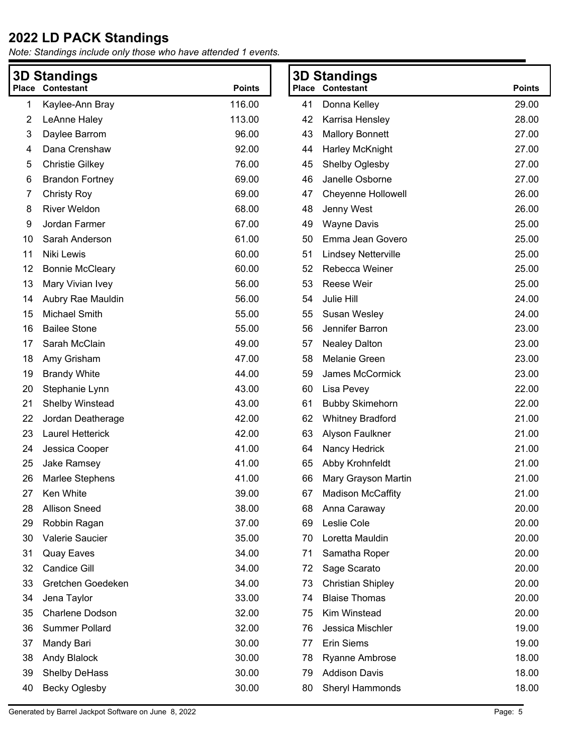|    | <b>3D Standings</b>     |               |    | <b>3D Standings</b>        |               |
|----|-------------------------|---------------|----|----------------------------|---------------|
|    | <b>Place Contestant</b> | <b>Points</b> |    | <b>Place Contestant</b>    | <b>Points</b> |
| 1  | Kaylee-Ann Bray         | 116.00        | 41 | Donna Kelley               | 29.00         |
| 2  | LeAnne Haley            | 113.00        | 42 | Karrisa Hensley            | 28.00         |
| 3  | Daylee Barrom           | 96.00         | 43 | <b>Mallory Bonnett</b>     | 27.00         |
| 4  | Dana Crenshaw           | 92.00         | 44 | Harley McKnight            | 27.00         |
| 5  | <b>Christie Gilkey</b>  | 76.00         | 45 | Shelby Oglesby             | 27.00         |
| 6  | <b>Brandon Fortney</b>  | 69.00         | 46 | Janelle Osborne            | 27.00         |
| 7  | <b>Christy Roy</b>      | 69.00         | 47 | <b>Cheyenne Hollowell</b>  | 26.00         |
| 8  | <b>River Weldon</b>     | 68.00         | 48 | Jenny West                 | 26.00         |
| 9  | Jordan Farmer           | 67.00         | 49 | <b>Wayne Davis</b>         | 25.00         |
| 10 | Sarah Anderson          | 61.00         | 50 | Emma Jean Govero           | 25.00         |
| 11 | Niki Lewis              | 60.00         | 51 | <b>Lindsey Netterville</b> | 25.00         |
| 12 | <b>Bonnie McCleary</b>  | 60.00         | 52 | Rebecca Weiner             | 25.00         |
| 13 | Mary Vivian Ivey        | 56.00         | 53 | Reese Weir                 | 25.00         |
| 14 | Aubry Rae Mauldin       | 56.00         | 54 | Julie Hill                 | 24.00         |
| 15 | Michael Smith           | 55.00         | 55 | Susan Wesley               | 24.00         |
| 16 | <b>Bailee Stone</b>     | 55.00         | 56 | Jennifer Barron            | 23.00         |
| 17 | Sarah McClain           | 49.00         | 57 | <b>Nealey Dalton</b>       | 23.00         |
| 18 | Amy Grisham             | 47.00         | 58 | Melanie Green              | 23.00         |
| 19 | <b>Brandy White</b>     | 44.00         | 59 | James McCormick            | 23.00         |
| 20 | Stephanie Lynn          | 43.00         | 60 | Lisa Pevey                 | 22.00         |
| 21 | Shelby Winstead         | 43.00         | 61 | <b>Bubby Skimehorn</b>     | 22.00         |
| 22 | Jordan Deatherage       | 42.00         | 62 | <b>Whitney Bradford</b>    | 21.00         |
| 23 | <b>Laurel Hetterick</b> | 42.00         | 63 | Alyson Faulkner            | 21.00         |
| 24 | Jessica Cooper          | 41.00         | 64 | Nancy Hedrick              | 21.00         |
| 25 | Jake Ramsey             | 41.00         | 65 | Abby Krohnfeldt            | 21.00         |
| 26 | Marlee Stephens         | 41.00         | 66 | Mary Grayson Martin        | 21.00         |
| 27 | Ken White               | 39.00         | 67 | <b>Madison McCaffity</b>   | 21.00         |
| 28 | <b>Allison Sneed</b>    | 38.00         | 68 | Anna Caraway               | 20.00         |
| 29 | Robbin Ragan            | 37.00         | 69 | Leslie Cole                | 20.00         |
| 30 | Valerie Saucier         | 35.00         | 70 | Loretta Mauldin            | 20.00         |
| 31 | <b>Quay Eaves</b>       | 34.00         | 71 | Samatha Roper              | 20.00         |
| 32 | Candice Gill            | 34.00         | 72 | Sage Scarato               | 20.00         |
| 33 | Gretchen Goedeken       | 34.00         | 73 | <b>Christian Shipley</b>   | 20.00         |
| 34 | Jena Taylor             | 33.00         | 74 | <b>Blaise Thomas</b>       | 20.00         |
| 35 | Charlene Dodson         | 32.00         | 75 | Kim Winstead               | 20.00         |
| 36 | <b>Summer Pollard</b>   | 32.00         | 76 | Jessica Mischler           | 19.00         |
| 37 | Mandy Bari              | 30.00         | 77 | Erin Siems                 | 19.00         |
| 38 | <b>Andy Blalock</b>     | 30.00         | 78 | <b>Ryanne Ambrose</b>      | 18.00         |
| 39 | Shelby DeHass           | 30.00         | 79 | <b>Addison Davis</b>       | 18.00         |
| 40 | Becky Oglesby           | 30.00         | 80 | Sheryl Hammonds            | 18.00         |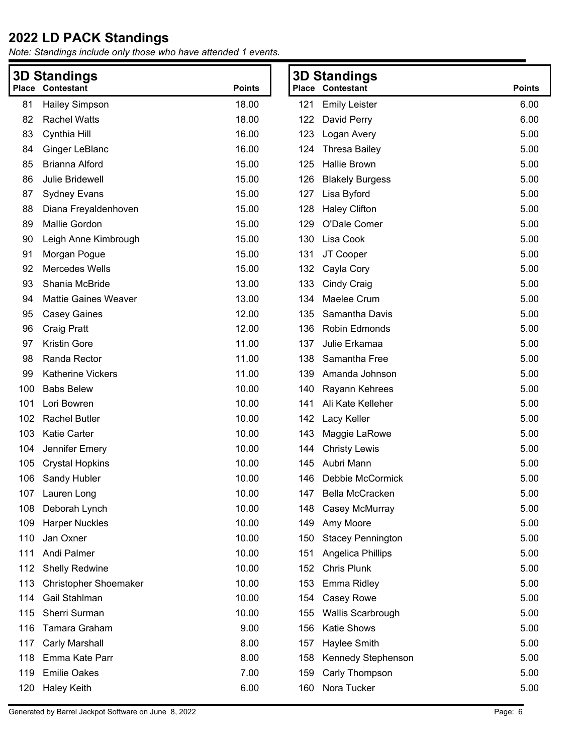| Contestant                   | <b>Points</b>                          |     |                          | <b>Points</b>                                                         |  |
|------------------------------|----------------------------------------|-----|--------------------------|-----------------------------------------------------------------------|--|
| <b>Hailey Simpson</b>        | 18.00                                  | 121 | <b>Emily Leister</b>     | 6.00                                                                  |  |
| <b>Rachel Watts</b>          | 18.00                                  | 122 | David Perry              | 6.00                                                                  |  |
| Cynthia Hill                 | 16.00                                  | 123 | Logan Avery              | 5.00                                                                  |  |
| Ginger LeBlanc               | 16.00                                  | 124 | <b>Thresa Bailey</b>     | 5.00                                                                  |  |
| <b>Brianna Alford</b>        | 15.00                                  | 125 | <b>Hallie Brown</b>      | 5.00                                                                  |  |
| Julie Bridewell              | 15.00                                  | 126 | <b>Blakely Burgess</b>   | 5.00                                                                  |  |
| <b>Sydney Evans</b>          | 15.00                                  | 127 | Lisa Byford              | 5.00                                                                  |  |
| Diana Freyaldenhoven         | 15.00                                  | 128 | <b>Haley Clifton</b>     | 5.00                                                                  |  |
| Mallie Gordon                | 15.00                                  | 129 | O'Dale Comer             | 5.00                                                                  |  |
| Leigh Anne Kimbrough         | 15.00                                  | 130 | Lisa Cook                | 5.00                                                                  |  |
| Morgan Pogue                 | 15.00                                  | 131 | JT Cooper                | 5.00                                                                  |  |
| Mercedes Wells               | 15.00                                  | 132 | Cayla Cory               | 5.00                                                                  |  |
| Shania McBride               | 13.00                                  | 133 | <b>Cindy Craig</b>       | 5.00                                                                  |  |
| <b>Mattie Gaines Weaver</b>  | 13.00                                  | 134 | Maelee Crum              | 5.00                                                                  |  |
| <b>Casey Gaines</b>          | 12.00                                  | 135 | Samantha Davis           | 5.00                                                                  |  |
| Craig Pratt                  | 12.00                                  | 136 | Robin Edmonds            | 5.00                                                                  |  |
| <b>Kristin Gore</b>          | 11.00                                  | 137 | Julie Erkamaa            | 5.00                                                                  |  |
| Randa Rector                 | 11.00                                  | 138 | Samantha Free            | 5.00                                                                  |  |
| <b>Katherine Vickers</b>     | 11.00                                  | 139 | Amanda Johnson           | 5.00                                                                  |  |
| <b>Babs Belew</b>            | 10.00                                  | 140 | Rayann Kehrees           | 5.00                                                                  |  |
| Lori Bowren                  | 10.00                                  | 141 | Ali Kate Kelleher        | 5.00                                                                  |  |
| <b>Rachel Butler</b>         | 10.00                                  | 142 | Lacy Keller              | 5.00                                                                  |  |
| <b>Katie Carter</b>          | 10.00                                  | 143 | Maggie LaRowe            | 5.00                                                                  |  |
| Jennifer Emery               | 10.00                                  | 144 | <b>Christy Lewis</b>     | 5.00                                                                  |  |
| <b>Crystal Hopkins</b>       | 10.00                                  | 145 | Aubri Mann               | 5.00                                                                  |  |
| Sandy Hubler                 | 10.00                                  | 146 | Debbie McCormick         | 5.00                                                                  |  |
|                              | 10.00                                  |     |                          | 5.00                                                                  |  |
| Deborah Lynch                | 10.00                                  | 148 | Casey McMurray           | 5.00                                                                  |  |
| <b>Harper Nuckles</b>        | 10.00                                  | 149 | Amy Moore                | 5.00                                                                  |  |
| Jan Oxner                    | 10.00                                  | 150 | <b>Stacey Pennington</b> | 5.00                                                                  |  |
| Andi Palmer                  | 10.00                                  | 151 | Angelica Phillips        | 5.00                                                                  |  |
| <b>Shelly Redwine</b>        | 10.00                                  | 152 | <b>Chris Plunk</b>       | 5.00                                                                  |  |
| <b>Christopher Shoemaker</b> | 10.00                                  | 153 | Emma Ridley              | 5.00                                                                  |  |
| Gail Stahlman                | 10.00                                  | 154 | Casey Rowe               | 5.00                                                                  |  |
| Sherri Surman                | 10.00                                  | 155 | Wallis Scarbrough        | 5.00                                                                  |  |
| Tamara Graham                | 9.00                                   | 156 | <b>Katie Shows</b>       | 5.00                                                                  |  |
| Carly Marshall               | 8.00                                   | 157 | Haylee Smith             | 5.00                                                                  |  |
| Emma Kate Parr               | 8.00                                   | 158 | Kennedy Stephenson       | 5.00                                                                  |  |
| <b>Emilie Oakes</b>          | 7.00                                   | 159 | Carly Thompson           | 5.00                                                                  |  |
| <b>Haley Keith</b>           | 6.00                                   | 160 | Nora Tucker              | 5.00                                                                  |  |
|                              | <b>3D Standings</b><br>107 Lauren Long |     |                          | <b>3D Standings</b><br><b>Place Contestant</b><br>147 Bella McCracken |  |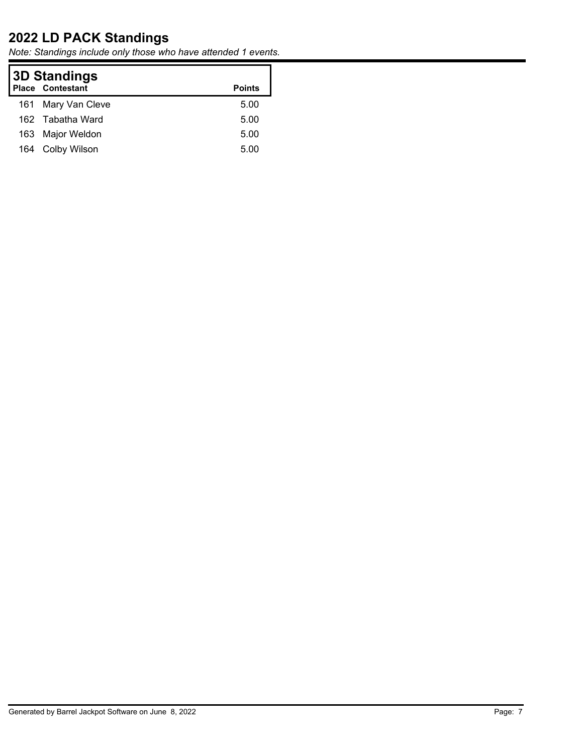|     | <b>3D Standings</b><br><b>Place Contestant</b><br><b>Points</b> |      |  |  |  |
|-----|-----------------------------------------------------------------|------|--|--|--|
|     | 161 Mary Van Cleve                                              | 5.00 |  |  |  |
|     | 162 Tabatha Ward                                                | 5.00 |  |  |  |
| 163 | Major Weldon                                                    | 5.00 |  |  |  |
| 164 | Colby Wilson                                                    | 5.00 |  |  |  |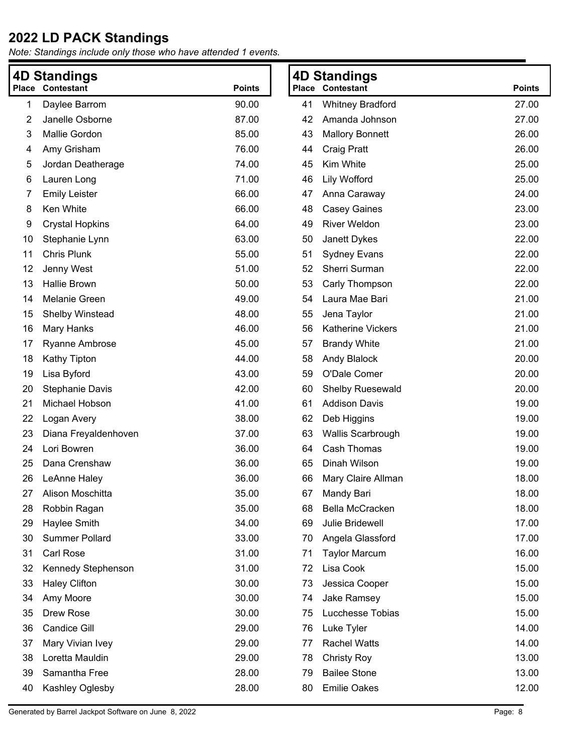|    | 4D Standings            |               |    | <b>4D Standings</b>      |               |
|----|-------------------------|---------------|----|--------------------------|---------------|
|    | <b>Place Contestant</b> | <b>Points</b> |    | <b>Place Contestant</b>  | <b>Points</b> |
| 1  | Daylee Barrom           | 90.00         | 41 | <b>Whitney Bradford</b>  | 27.00         |
| 2  | Janelle Osborne         | 87.00         | 42 | Amanda Johnson           | 27.00         |
| 3  | Mallie Gordon           | 85.00         | 43 | <b>Mallory Bonnett</b>   | 26.00         |
| 4  | Amy Grisham             | 76.00         | 44 | <b>Craig Pratt</b>       | 26.00         |
| 5  | Jordan Deatherage       | 74.00         | 45 | Kim White                | 25.00         |
| 6  | Lauren Long             | 71.00         | 46 | <b>Lily Wofford</b>      | 25.00         |
| 7  | <b>Emily Leister</b>    | 66.00         | 47 | Anna Caraway             | 24.00         |
| 8  | Ken White               | 66.00         | 48 | <b>Casey Gaines</b>      | 23.00         |
| 9  | <b>Crystal Hopkins</b>  | 64.00         | 49 | <b>River Weldon</b>      | 23.00         |
| 10 | Stephanie Lynn          | 63.00         | 50 | Janett Dykes             | 22.00         |
| 11 | Chris Plunk             | 55.00         | 51 | <b>Sydney Evans</b>      | 22.00         |
| 12 | Jenny West              | 51.00         | 52 | Sherri Surman            | 22.00         |
| 13 | <b>Hallie Brown</b>     | 50.00         | 53 | Carly Thompson           | 22.00         |
| 14 | Melanie Green           | 49.00         | 54 | Laura Mae Bari           | 21.00         |
| 15 | Shelby Winstead         | 48.00         | 55 | Jena Taylor              | 21.00         |
| 16 | Mary Hanks              | 46.00         | 56 | <b>Katherine Vickers</b> | 21.00         |
| 17 | Ryanne Ambrose          | 45.00         | 57 | <b>Brandy White</b>      | 21.00         |
| 18 | Kathy Tipton            | 44.00         | 58 | <b>Andy Blalock</b>      | 20.00         |
| 19 | Lisa Byford             | 43.00         | 59 | O'Dale Comer             | 20.00         |
| 20 | Stephanie Davis         | 42.00         | 60 | <b>Shelby Ruesewald</b>  | 20.00         |
| 21 | Michael Hobson          | 41.00         | 61 | <b>Addison Davis</b>     | 19.00         |
| 22 | Logan Avery             | 38.00         | 62 | Deb Higgins              | 19.00         |
| 23 | Diana Freyaldenhoven    | 37.00         | 63 | <b>Wallis Scarbrough</b> | 19.00         |
| 24 | Lori Bowren             | 36.00         | 64 | <b>Cash Thomas</b>       | 19.00         |
| 25 | Dana Crenshaw           | 36.00         | 65 | Dinah Wilson             | 19.00         |
| 26 | LeAnne Haley            | 36.00         | 66 | Mary Claire Allman       | 18.00         |
| 27 | Alison Moschitta        | 35.00         | 67 | Mandy Bari               | 18.00         |
| 28 | Robbin Ragan            | 35.00         | 68 | Bella McCracken          | 18.00         |
| 29 | Haylee Smith            | 34.00         | 69 | Julie Bridewell          | 17.00         |
| 30 | <b>Summer Pollard</b>   | 33.00         | 70 | Angela Glassford         | 17.00         |
| 31 | <b>Carl Rose</b>        | 31.00         | 71 | <b>Taylor Marcum</b>     | 16.00         |
| 32 | Kennedy Stephenson      | 31.00         | 72 | Lisa Cook                | 15.00         |
| 33 | <b>Haley Clifton</b>    | 30.00         | 73 | Jessica Cooper           | 15.00         |
| 34 | Amy Moore               | 30.00         | 74 | <b>Jake Ramsey</b>       | 15.00         |
| 35 | Drew Rose               | 30.00         | 75 | Lucchesse Tobias         | 15.00         |
| 36 | <b>Candice Gill</b>     | 29.00         | 76 | Luke Tyler               | 14.00         |
| 37 | Mary Vivian Ivey        | 29.00         | 77 | <b>Rachel Watts</b>      | 14.00         |
| 38 | Loretta Mauldin         | 29.00         | 78 | <b>Christy Roy</b>       | 13.00         |
| 39 | Samantha Free           | 28.00         | 79 | <b>Bailee Stone</b>      | 13.00         |
| 40 | Kashley Oglesby         | 28.00         | 80 | <b>Emilie Oakes</b>      | 12.00         |
|    |                         |               |    |                          |               |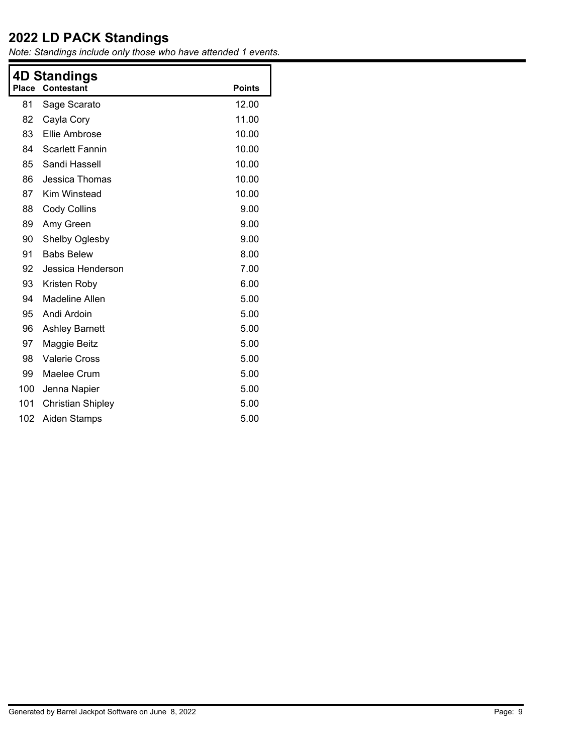|       | 4D Standings             |               |  |  |  |
|-------|--------------------------|---------------|--|--|--|
| Place | <b>Contestant</b>        | <b>Points</b> |  |  |  |
| 81    | Sage Scarato             | 12.00         |  |  |  |
| 82    | Cayla Cory               | 11.00         |  |  |  |
| 83    | Ellie Ambrose            | 10.00         |  |  |  |
| 84    | <b>Scarlett Fannin</b>   | 10.00         |  |  |  |
| 85    | Sandi Hassell            | 10.00         |  |  |  |
| 86    | Jessica Thomas           | 10.00         |  |  |  |
| 87    | Kim Winstead             | 10.00         |  |  |  |
| 88    | <b>Cody Collins</b>      | 9.00          |  |  |  |
| 89    | Amy Green                | 9.00          |  |  |  |
| 90    | Shelby Oglesby           | 9.00          |  |  |  |
| 91    | <b>Babs Belew</b>        | 8.00          |  |  |  |
| 92    | Jessica Henderson        | 7.00          |  |  |  |
| 93    | Kristen Roby             | 6.00          |  |  |  |
| 94    | Madeline Allen           | 5.00          |  |  |  |
| 95    | Andi Ardoin              | 5.00          |  |  |  |
| 96    | <b>Ashley Barnett</b>    | 5.00          |  |  |  |
| 97    | Maggie Beitz             | 5.00          |  |  |  |
| 98    | <b>Valerie Cross</b>     | 5.00          |  |  |  |
| 99    | Maelee Crum              | 5.00          |  |  |  |
| 100   | Jenna Napier             | 5.00          |  |  |  |
| 101   | <b>Christian Shipley</b> | 5.00          |  |  |  |
| 102   | <b>Aiden Stamps</b>      | 5.00          |  |  |  |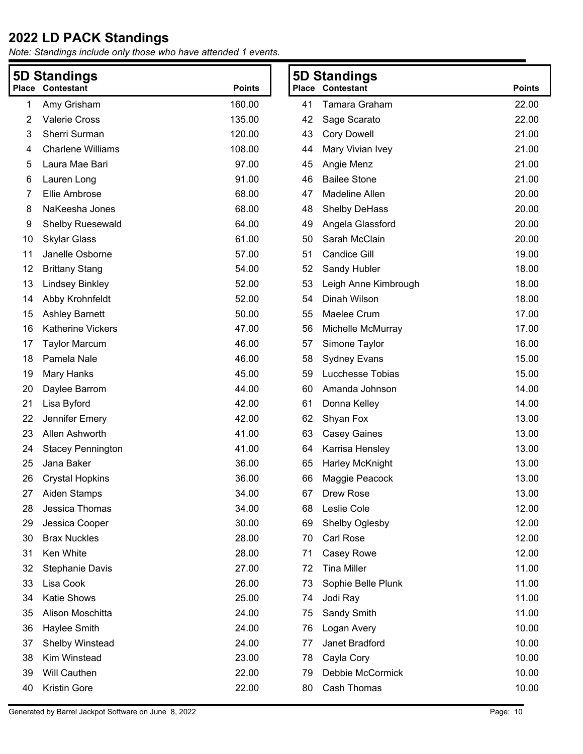|    | 5D Standings             |               | <b>5D Standings</b> |                         |               |
|----|--------------------------|---------------|---------------------|-------------------------|---------------|
|    | <b>Place Contestant</b>  | <b>Points</b> |                     | <b>Place Contestant</b> | <b>Points</b> |
| 1  | Amy Grisham              | 160.00        | 41                  | Tamara Graham           | 22.00         |
| 2  | <b>Valerie Cross</b>     | 135.00        | 42                  | Sage Scarato            | 22.00         |
| 3  | Sherri Surman            | 120.00        | 43                  | <b>Cory Dowell</b>      | 21.00         |
| 4  | <b>Charlene Williams</b> | 108.00        | 44                  | Mary Vivian Ivey        | 21.00         |
| 5  | Laura Mae Bari           | 97.00         | 45                  | Angie Menz              | 21.00         |
| 6  | Lauren Long              | 91.00         | 46                  | <b>Bailee Stone</b>     | 21.00         |
| 7  | Ellie Ambrose            | 68.00         | 47                  | Madeline Allen          | 20.00         |
| 8  | NaKeesha Jones           | 68.00         | 48                  | <b>Shelby DeHass</b>    | 20.00         |
| 9  | <b>Shelby Ruesewald</b>  | 64.00         | 49                  | Angela Glassford        | 20.00         |
| 10 | <b>Skylar Glass</b>      | 61.00         | 50                  | Sarah McClain           | 20.00         |
| 11 | Janelle Osborne          | 57.00         | 51                  | <b>Candice Gill</b>     | 19.00         |
| 12 | <b>Brittany Stang</b>    | 54.00         | 52                  | Sandy Hubler            | 18.00         |
| 13 | <b>Lindsey Binkley</b>   | 52.00         | 53                  | Leigh Anne Kimbrough    | 18.00         |
| 14 | Abby Krohnfeldt          | 52.00         | 54                  | Dinah Wilson            | 18.00         |
| 15 | <b>Ashley Barnett</b>    | 50.00         | 55                  | Maelee Crum             | 17.00         |
| 16 | Katherine Vickers        | 47.00         | 56                  | Michelle McMurray       | 17.00         |
| 17 | <b>Taylor Marcum</b>     | 46.00         | 57                  | Simone Taylor           | 16.00         |
| 18 | Pamela Nale              | 46.00         | 58                  | <b>Sydney Evans</b>     | 15.00         |
| 19 | Mary Hanks               | 45.00         | 59                  | Lucchesse Tobias        | 15.00         |
| 20 | Daylee Barrom            | 44.00         | 60                  | Amanda Johnson          | 14.00         |
| 21 | Lisa Byford              | 42.00         | 61                  | Donna Kelley            | 14.00         |
| 22 | Jennifer Emery           | 42.00         | 62                  | Shyan Fox               | 13.00         |
| 23 | Allen Ashworth           | 41.00         | 63                  | <b>Casey Gaines</b>     | 13.00         |
| 24 | <b>Stacey Pennington</b> | 41.00         | 64                  | Karrisa Hensley         | 13.00         |
| 25 | Jana Baker               | 36.00         | 65                  | Harley McKnight         | 13.00         |
| 26 | <b>Crystal Hopkins</b>   | 36.00         | 66                  | Maggie Peacock          | 13.00         |
| 27 | Aiden Stamps             | 34.00         | 67                  | Drew Rose               | 13.00         |
| 28 | Jessica Thomas           | 34.00         | 68                  | Leslie Cole             | 12.00         |
| 29 | Jessica Cooper           | 30.00         | 69                  | Shelby Oglesby          | 12.00         |
| 30 | <b>Brax Nuckles</b>      | 28.00         | 70                  | Carl Rose               | 12.00         |
| 31 | Ken White                | 28.00         | 71                  | Casey Rowe              | 12.00         |
| 32 | <b>Stephanie Davis</b>   | 27.00         | 72                  | <b>Tina Miller</b>      | 11.00         |
| 33 | Lisa Cook                | 26.00         | 73                  | Sophie Belle Plunk      | 11.00         |
| 34 | Katie Shows              | 25.00         | 74                  | Jodi Ray                | 11.00         |
| 35 | Alison Moschitta         | 24.00         | 75                  | Sandy Smith             | 11.00         |
| 36 | Haylee Smith             | 24.00         | 76                  | Logan Avery             | 10.00         |
| 37 | Shelby Winstead          | 24.00         | 77                  | Janet Bradford          | 10.00         |
| 38 | Kim Winstead             | 23.00         | 78                  | Cayla Cory              | 10.00         |
| 39 | <b>Will Cauthen</b>      | 22.00         | 79                  | Debbie McCormick        | 10.00         |
| 40 | <b>Kristin Gore</b>      | 22.00         | 80                  | Cash Thomas             | 10.00         |